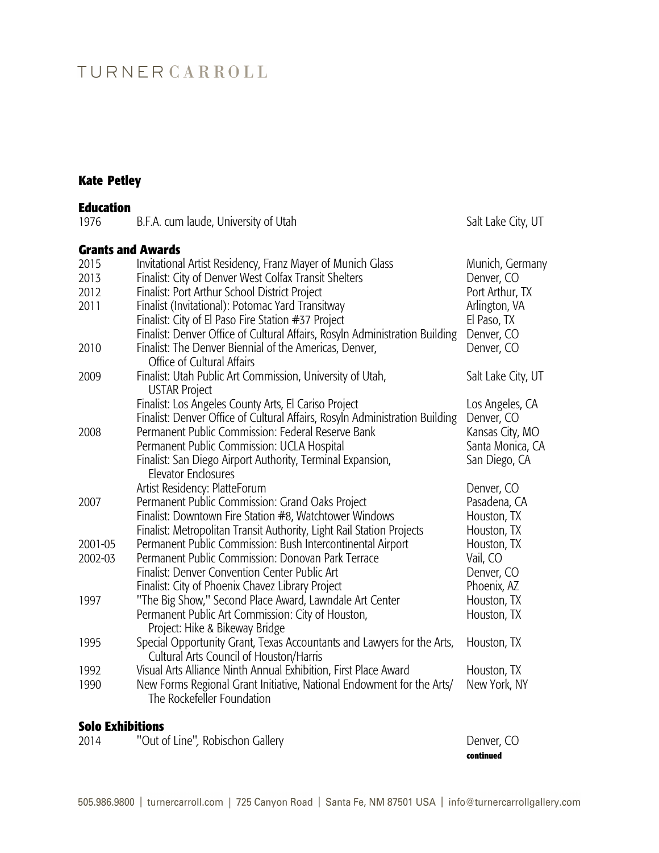# TURNERCARROLL

# **Kate Petley**

| <b>Education</b>         |                                                                                                                   |                    |
|--------------------------|-------------------------------------------------------------------------------------------------------------------|--------------------|
| 1976                     | B.F.A. cum laude, University of Utah                                                                              | Salt Lake City, UT |
| <b>Grants and Awards</b> |                                                                                                                   |                    |
| 2015                     | Invitational Artist Residency, Franz Mayer of Munich Glass                                                        | Munich, Germany    |
| 2013                     | Finalist: City of Denver West Colfax Transit Shelters                                                             | Denver, CO         |
| 2012                     | Finalist: Port Arthur School District Project                                                                     | Port Arthur, TX    |
| 2011                     | Finalist (Invitational): Potomac Yard Transitway                                                                  | Arlington, VA      |
|                          | Finalist: City of El Paso Fire Station #37 Project                                                                | El Paso, TX        |
|                          | Finalist: Denver Office of Cultural Affairs, Rosyln Administration Building                                       | Denver, CO         |
| 2010                     | Finalist: The Denver Biennial of the Americas, Denver,                                                            | Denver, CO         |
|                          | Office of Cultural Affairs                                                                                        |                    |
| 2009                     | Finalist: Utah Public Art Commission, University of Utah,<br><b>USTAR Project</b>                                 | Salt Lake City, UT |
|                          | Finalist: Los Angeles County Arts, El Cariso Project                                                              | Los Angeles, CA    |
|                          | Finalist: Denver Office of Cultural Affairs, Rosyln Administration Building                                       | Denver, CO         |
| 2008                     | Permanent Public Commission: Federal Reserve Bank                                                                 | Kansas City, MO    |
|                          | Permanent Public Commission: UCLA Hospital                                                                        | Santa Monica, CA   |
|                          | Finalist: San Diego Airport Authority, Terminal Expansion,<br>Elevator Enclosures                                 | San Diego, CA      |
|                          | Artist Residency: PlatteForum                                                                                     | Denver, CO         |
| 2007                     | Permanent Public Commission: Grand Oaks Project                                                                   | Pasadena, CA       |
|                          | Finalist: Downtown Fire Station #8, Watchtower Windows                                                            | Houston, TX        |
|                          | Finalist: Metropolitan Transit Authority, Light Rail Station Projects                                             | Houston, TX        |
| 2001-05                  | Permanent Public Commission: Bush Intercontinental Airport                                                        | Houston, TX        |
| 2002-03                  | Permanent Public Commission: Donovan Park Terrace                                                                 | Vail, CO           |
|                          | <b>Finalist: Denver Convention Center Public Art</b>                                                              | Denver, CO         |
|                          | Finalist: City of Phoenix Chavez Library Project                                                                  | Phoenix, AZ        |
| 1997                     | "The Big Show," Second Place Award, Lawndale Art Center                                                           | Houston, TX        |
|                          | Permanent Public Art Commission: City of Houston,<br>Project: Hike & Bikeway Bridge                               | Houston, TX        |
| 1995                     | Special Opportunity Grant, Texas Accountants and Lawyers for the Arts,<br>Cultural Arts Council of Houston/Harris | Houston, TX        |
| 1992                     | Visual Arts Alliance Ninth Annual Exhibition, First Place Award                                                   | Houston, TX        |
| 1990                     | New Forms Regional Grant Initiative, National Endowment for the Arts/<br>The Rockefeller Foundation               | New York, NY       |
|                          |                                                                                                                   |                    |

### **Solo Exhibitions**

|      |                                  | continued  |
|------|----------------------------------|------------|
| 2014 | "Out of Line", Robischon Gallery | Denver, CO |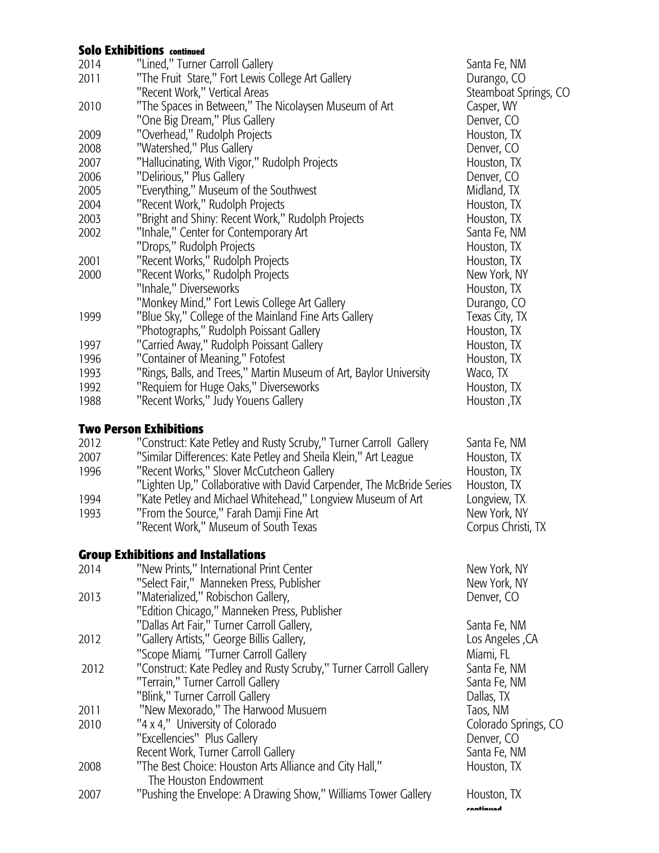#### **Solo Exhibitions continued**

| 2014 | "Lined," Turner Carroll Gallery                                      | Santa Fe, NM          |
|------|----------------------------------------------------------------------|-----------------------|
| 2011 | "The Fruit Stare," Fort Lewis College Art Gallery                    | Durango, CO           |
|      | "Recent Work," Vertical Areas                                        | Steamboat Springs, CO |
| 2010 | "The Spaces in Between," The Nicolaysen Museum of Art                | Casper, WY            |
|      | "One Big Dream," Plus Gallery                                        | Denver, CO            |
| 2009 | "Overhead," Rudolph Projects                                         | Houston, TX           |
| 2008 | "Watershed," Plus Gallery                                            | Denver, CO            |
| 2007 | "Hallucinating, With Vigor," Rudolph Projects                        | Houston, TX           |
| 2006 | "Delirious," Plus Gallery                                            | Denver, CO            |
| 2005 | "Everything," Museum of the Southwest                                | Midland, TX           |
| 2004 | "Recent Work," Rudolph Projects                                      | Houston, TX           |
| 2003 | "Bright and Shiny: Recent Work," Rudolph Projects                    | Houston, TX           |
| 2002 | "Inhale," Center for Contemporary Art                                | Santa Fe, NM          |
|      | "Drops," Rudolph Projects                                            | Houston, TX           |
| 2001 | "Recent Works," Rudolph Projects                                     | Houston, TX           |
|      | "Recent Works," Rudolph Projects                                     |                       |
| 2000 | "Inhale," Diverseworks                                               | New York, NY          |
|      |                                                                      | Houston, TX           |
|      | "Monkey Mind," Fort Lewis College Art Gallery                        | Durango, CO           |
| 1999 | "Blue Sky," College of the Mainland Fine Arts Gallery                | Texas City, TX        |
|      | "Photographs," Rudolph Poissant Gallery                              | Houston, TX           |
| 1997 | "Carried Away," Rudolph Poissant Gallery                             | Houston, TX           |
| 1996 | "Container of Meaning," Fotofest                                     | Houston, TX           |
| 1993 | "Rings, Balls, and Trees," Martin Museum of Art, Baylor University   | Waco, TX              |
| 1992 | "Requiem for Huge Oaks," Diverseworks                                | Houston, TX           |
| 1988 | "Recent Works," Judy Youens Gallery                                  | Houston, TX           |
|      |                                                                      |                       |
|      | <b>Two Person Exhibitions</b>                                        |                       |
| 2012 | "Construct: Kate Petley and Rusty Scruby," Turner Carroll Gallery    | Santa Fe, NM          |
| 2007 | "Similar Differences: Kate Petley and Sheila Klein," Art League      | Houston, TX           |
| 1996 | "Recent Works," Slover McCutcheon Gallery                            | Houston, TX           |
|      | "Lighten Up," Collaborative with David Carpender, The McBride Series | Houston, TX           |
| 1994 | "Kate Petley and Michael Whitehead," Longview Museum of Art          | Longview, TX          |
| 1993 | "From the Source," Farah Damji Fine Art                              | New York, NY          |
|      | "Recent Work," Museum of South Texas                                 | Corpus Christi, TX    |
|      |                                                                      |                       |
|      | <b>Group Exhibitions and Installations</b>                           |                       |
| 2014 | "New Prints," International Print Center                             | New York, NY          |
|      | "Select Fair," Manneken Press, Publisher                             | New York, NY          |
| 2013 | "Materialized," Robischon Gallery,                                   | Denver, CO            |
|      | "Edition Chicago," Manneken Press, Publisher                         |                       |
|      | "Dallas Art Fair," Turner Carroll Gallery,                           | Santa Fe, NM          |
| 2012 | "Gallery Artists," George Billis Gallery,                            | Los Angeles, CA       |
|      | "Scope Miami, "Turner Carroll Gallery                                | Miami, FL             |
| 2012 | "Construct: Kate Pedley and Rusty Scruby," Turner Carroll Gallery    | Santa Fe, NM          |
|      | "Terrain," Turner Carroll Gallery                                    | Santa Fe, NM          |
|      | "Blink," Turner Carroll Gallery                                      | Dallas, TX            |
| 2011 | "New Mexorado," The Harwood Musuem                                   | Taos, NM              |
| 2010 | "4 x 4," University of Colorado                                      | Colorado Springs, CO  |
|      | "Excellencies" Plus Gallery                                          | Denver, CO            |
|      | Recent Work, Turner Carroll Gallery                                  | Santa Fe, NM          |
| 2008 | "The Best Choice: Houston Arts Alliance and City Hall,"              | Houston, TX           |
|      | The Houston Endowment                                                |                       |
| 2007 | "Pushing the Envelope: A Drawing Show," Williams Tower Gallery       | Houston, TX           |
|      |                                                                      | ramtimuad             |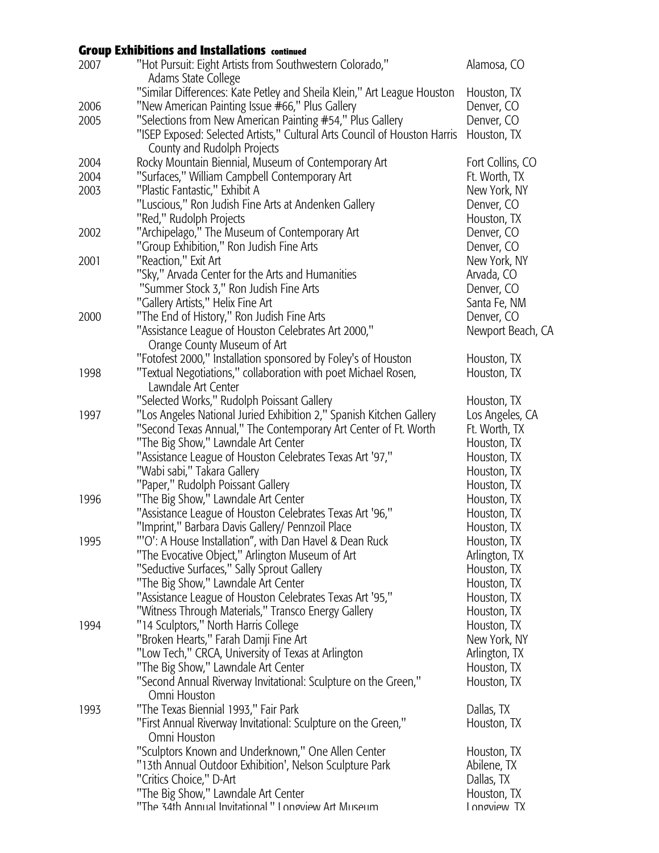### **Group Exhibitions and Installations continued**

| 2007 | "Hot Pursuit: Eight Artists from Southwestern Colorado,"<br>Adams State College                                   | Alamosa, CO                |
|------|-------------------------------------------------------------------------------------------------------------------|----------------------------|
|      | "Similar Differences: Kate Petley and Sheila Klein," Art League Houston                                           | Houston, TX                |
| 2006 | "New American Painting Issue #66," Plus Gallery                                                                   | Denver, CO                 |
| 2005 | "Selections from New American Painting #54," Plus Gallery                                                         | Denver, CO                 |
|      | "ISEP Exposed: Selected Artists," Cultural Arts Council of Houston Harris                                         | Houston, TX                |
|      | County and Rudolph Projects                                                                                       |                            |
| 2004 | Rocky Mountain Biennial, Museum of Contemporary Art                                                               | Fort Collins, CO           |
| 2004 | "Surfaces," William Campbell Contemporary Art                                                                     | Ft. Worth, TX              |
| 2003 | "Plastic Fantastic," Exhibit A                                                                                    | New York, NY               |
|      | "Luscious," Ron Judish Fine Arts at Andenken Gallery                                                              | Denver, CO                 |
|      | "Red," Rudolph Projects                                                                                           | Houston, TX                |
| 2002 | "Archipelago," The Museum of Contemporary Art                                                                     | Denver, CO                 |
|      | "Group Exhibition," Ron Judish Fine Arts                                                                          | Denver, CO                 |
| 2001 | "Reaction," Exit Art                                                                                              | New York, NY               |
|      | "Sky," Arvada Center for the Arts and Humanities                                                                  | Arvada, CO                 |
|      | "Summer Stock 3," Ron Judish Fine Arts                                                                            | Denver, CO                 |
|      | "Gallery Artists," Helix Fine Art                                                                                 | Santa Fe, NM               |
| 2000 | "The End of History," Ron Judish Fine Arts                                                                        | Denver, CO                 |
|      | "Assistance League of Houston Celebrates Art 2000,"                                                               | Newport Beach, CA          |
|      | Orange County Museum of Art                                                                                       |                            |
|      | "Fotofest 2000," Installation sponsored by Foley's of Houston                                                     | Houston, TX                |
| 1998 | "Textual Negotiations," collaboration with poet Michael Rosen,                                                    | Houston, TX                |
|      | Lawndale Art Center                                                                                               |                            |
| 1997 | "Selected Works," Rudolph Poissant Gallery<br>"Los Angeles National Juried Exhibition 2," Spanish Kitchen Gallery | Houston, TX                |
|      |                                                                                                                   | Los Angeles, CA            |
|      | "Second Texas Annual," The Contemporary Art Center of Ft. Worth<br>"The Big Show," Lawndale Art Center            | Ft. Worth, TX              |
|      | "Assistance League of Houston Celebrates Texas Art '97,"                                                          | Houston, TX<br>Houston, TX |
|      | "Wabi sabi," Takara Gallery                                                                                       |                            |
|      | "Paper," Rudolph Poissant Gallery                                                                                 | Houston, TX                |
| 1996 | "The Big Show," Lawndale Art Center                                                                               | Houston, TX<br>Houston, TX |
|      | "Assistance League of Houston Celebrates Texas Art '96,"                                                          | Houston, TX                |
|      | "Imprint," Barbara Davis Gallery/ Pennzoil Place                                                                  | Houston, TX                |
| 1995 | "'O': A House Installation", with Dan Havel & Dean Ruck                                                           | Houston, TX                |
|      | "The Evocative Object," Arlington Museum of Art                                                                   | Arlington, TX              |
|      | "Seductive Surfaces," Sally Sprout Gallery                                                                        | Houston, TX                |
|      | "The Big Show," Lawndale Art Center                                                                               | Houston, TX                |
|      | "Assistance League of Houston Celebrates Texas Art '95,"                                                          | Houston, TX                |
|      | "Witness Through Materials," Transco Energy Gallery                                                               | Houston, TX                |
| 1994 | "14 Sculptors," North Harris College                                                                              | Houston, TX                |
|      | "Broken Hearts," Farah Damji Fine Art                                                                             | New York, NY               |
|      | "Low Tech," CRCA, University of Texas at Arlington                                                                | Arlington, TX              |
|      | "The Big Show," Lawndale Art Center                                                                               | Houston, TX                |
|      | "Second Annual Riverway Invitational: Sculpture on the Green,"                                                    | Houston, TX                |
|      | Omni Houston                                                                                                      |                            |
| 1993 | "The Texas Biennial 1993," Fair Park                                                                              | Dallas, TX                 |
|      | "First Annual Riverway Invitational: Sculpture on the Green,"                                                     | Houston, TX                |
|      | Omni Houston                                                                                                      |                            |
|      | "Sculptors Known and Underknown," One Allen Center                                                                | Houston, TX                |
|      | "13th Annual Outdoor Exhibition', Nelson Sculpture Park                                                           | Abilene, TX                |
|      | "Critics Choice," D-Art                                                                                           | Dallas, TX                 |
|      | "The Big Show," Lawndale Art Center                                                                               | Houston, TX                |
|      | "The 34th Annual Invitational" I onoview Art Museum                                                               | I nnoview TX               |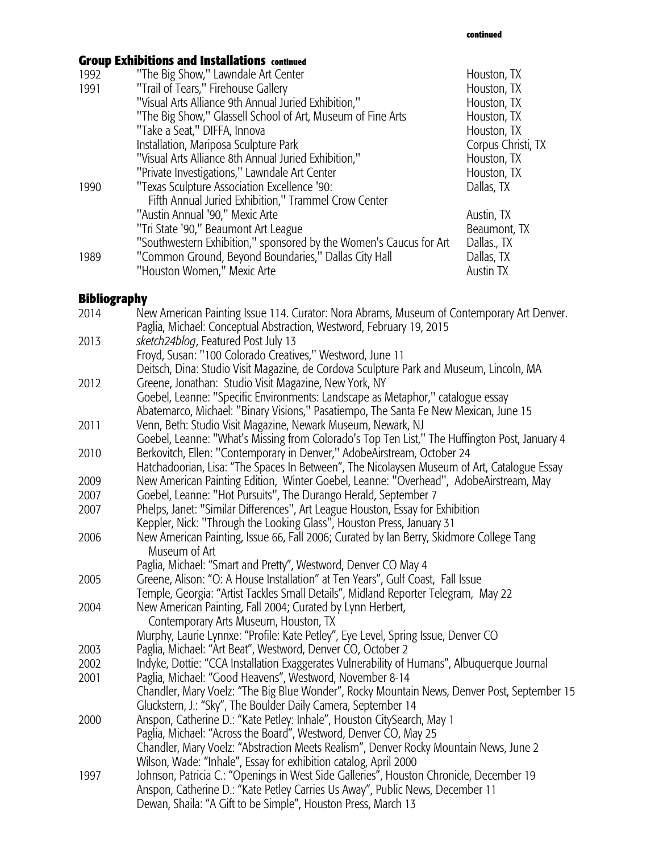# **Group Exhibitions and Installations continued**

| 1992 | "The Big Show," Lawndale Art Center                                | Houston, TX        |
|------|--------------------------------------------------------------------|--------------------|
| 1991 | "Trail of Tears," Firehouse Gallery                                | Houston, TX        |
|      | "Visual Arts Alliance 9th Annual Juried Exhibition,"               | Houston, TX        |
|      | "The Big Show," Glassell School of Art, Museum of Fine Arts        | Houston, TX        |
|      | "Take a Seat," DIFFA, Innova                                       | Houston, TX        |
|      | Installation, Mariposa Sculpture Park                              | Corpus Christi, TX |
|      | "Visual Arts Alliance 8th Annual Juried Exhibition,"               | Houston, TX        |
|      | "Private Investigations," Lawndale Art Center                      | Houston, TX        |
| 1990 | "Texas Sculpture Association Excellence '90:                       | Dallas, TX         |
|      | Fifth Annual Juried Exhibition," Trammel Crow Center               |                    |
|      | "Austin Annual '90," Mexic Arte                                    | Austin, TX         |
|      | "Tri State '90," Beaumont Art League                               | Beaumont, TX       |
|      | "Southwestern Exhibition," sponsored by the Women's Caucus for Art | Dallas., TX        |
| 1989 | "Common Ground, Beyond Boundaries," Dallas City Hall               | Dallas, TX         |
|      | "Houston Women," Mexic Arte                                        | Austin TX          |

### **Bibliography**

| 2014 | New American Painting Issue 114. Curator: Nora Abrams, Museum of Contemporary Art Denver.<br>Paglia, Michael: Conceptual Abstraction, Westword, February 19, 2015 |
|------|-------------------------------------------------------------------------------------------------------------------------------------------------------------------|
| 2013 | sketch24blog, Featured Post July 13                                                                                                                               |
|      | Froyd, Susan: "100 Colorado Creatives," Westword, June 11                                                                                                         |
|      | Deitsch, Dina: Studio Visit Magazine, de Cordova Sculpture Park and Museum, Lincoln, MA                                                                           |
| 2012 | Greene, Jonathan: Studio Visit Magazine, New York, NY                                                                                                             |
|      | Goebel, Leanne: "Specific Environments: Landscape as Metaphor," catalogue essay                                                                                   |
|      | Abatemarco, Michael: "Binary Visions," Pasatiempo, The Santa Fe New Mexican, June 15                                                                              |
| 2011 | Venn, Beth: Studio Visit Magazine, Newark Museum, Newark, NJ                                                                                                      |
|      | Goebel, Leanne: "What's Missing from Colorado's Top Ten List," The Huffington Post, January 4                                                                     |
| 2010 | Berkovitch, Ellen: "Contemporary in Denver," AdobeAirstream, October 24                                                                                           |
|      | Hatchadoorian, Lisa: "The Spaces In Between", The Nicolaysen Museum of Art, Catalogue Essay                                                                       |
| 2009 | New American Painting Edition, Winter Goebel, Leanne: "Overhead", AdobeAirstream, May                                                                             |
| 2007 | Goebel, Leanne: "Hot Pursuits", The Durango Herald, September 7                                                                                                   |
| 2007 | Phelps, Janet: "Similar Differences", Art League Houston, Essay for Exhibition                                                                                    |
|      | Keppler, Nick: "Through the Looking Glass", Houston Press, January 31                                                                                             |
| 2006 | New American Painting, Issue 66, Fall 2006; Curated by Ian Berry, Skidmore College Tang<br>Museum of Art                                                          |
|      | Paglia, Michael: "Smart and Pretty", Westword, Denver CO May 4                                                                                                    |
| 2005 | Greene, Alison: "O: A House Installation" at Ten Years", Gulf Coast, Fall Issue                                                                                   |
|      | Temple, Georgia: "Artist Tackles Small Details", Midland Reporter Telegram, May 22                                                                                |
| 2004 | New American Painting, Fall 2004; Curated by Lynn Herbert,                                                                                                        |
|      | Contemporary Arts Museum, Houston, TX                                                                                                                             |
|      | Murphy, Laurie Lynnxe: "Profile: Kate Petley", Eye Level, Spring Issue, Denver CO                                                                                 |
| 2003 | Paglia, Michael: "Art Beat", Westword, Denver CO, October 2                                                                                                       |
| 2002 | Indyke, Dottie: "CCA Installation Exaggerates Vulnerability of Humans", Albuquerque Journal                                                                       |
| 2001 | Paglia, Michael: "Good Heavens", Westword, November 8-14                                                                                                          |
|      | Chandler, Mary Voelz: "The Big Blue Wonder", Rocky Mountain News, Denver Post, September 15                                                                       |
|      | Gluckstern, J.: "Sky", The Boulder Daily Camera, September 14                                                                                                     |
| 2000 | Anspon, Catherine D.: "Kate Petley: Inhale", Houston CitySearch, May 1                                                                                            |
|      | Paglia, Michael: "Across the Board", Westword, Denver CO, May 25                                                                                                  |
|      | Chandler, Mary Voelz: "Abstraction Meets Realism", Denver Rocky Mountain News, June 2<br>Wilson, Wade: "Inhale", Essay for exhibition catalog, April 2000         |
|      | Johnson, Patricia C.: "Openings in West Side Galleries", Houston Chronicle, December 19                                                                           |
| 1997 | Anspon, Catherine D.: "Kate Petley Carries Us Away", Public News, December 11                                                                                     |
|      | Dewan, Shaila: "A Gift to be Simple", Houston Press, March 13                                                                                                     |
|      |                                                                                                                                                                   |